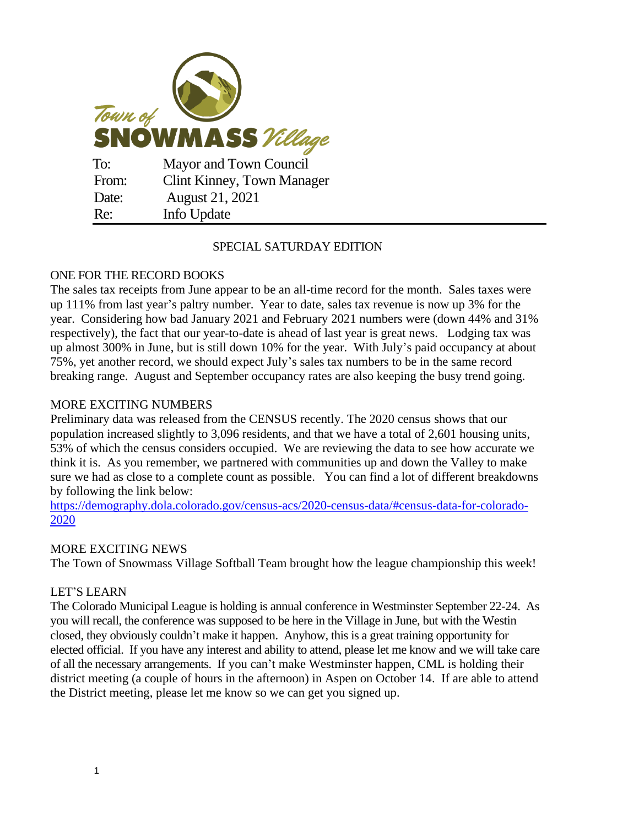

## SPECIAL SATURDAY EDITION

# ONE FOR THE RECORD BOOKS

The sales tax receipts from June appear to be an all-time record for the month. Sales taxes were up 111% from last year's paltry number. Year to date, sales tax revenue is now up 3% for the year. Considering how bad January 2021 and February 2021 numbers were (down 44% and 31% respectively), the fact that our year-to-date is ahead of last year is great news. Lodging tax was up almost 300% in June, but is still down 10% for the year. With July's paid occupancy at about 75%, yet another record, we should expect July's sales tax numbers to be in the same record breaking range. August and September occupancy rates are also keeping the busy trend going.

# MORE EXCITING NUMBERS

Preliminary data was released from the CENSUS recently. The 2020 census shows that our population increased slightly to 3,096 residents, and that we have a total of 2,601 housing units, 53% of which the census considers occupied. We are reviewing the data to see how accurate we think it is. As you remember, we partnered with communities up and down the Valley to make sure we had as close to a complete count as possible. You can find a lot of different breakdowns by following the link below:

[https://demography.dola.colorado.gov/census-acs/2020-census-data/#census-data-for-colorado-](https://demography.dola.colorado.gov/census-acs/2020-census-data/#census-data-for-colorado-2020)[2020](https://demography.dola.colorado.gov/census-acs/2020-census-data/#census-data-for-colorado-2020)

## MORE EXCITING NEWS

The Town of Snowmass Village Softball Team brought how the league championship this week!

## LET'S LEARN

The Colorado Municipal League is holding is annual conference in Westminster September 22-24. As you will recall, the conference was supposed to be here in the Village in June, but with the Westin closed, they obviously couldn't make it happen. Anyhow, this is a great training opportunity for elected official. If you have any interest and ability to attend, please let me know and we will take care of all the necessary arrangements. If you can't make Westminster happen, CML is holding their district meeting (a couple of hours in the afternoon) in Aspen on October 14. If are able to attend the District meeting, please let me know so we can get you signed up.